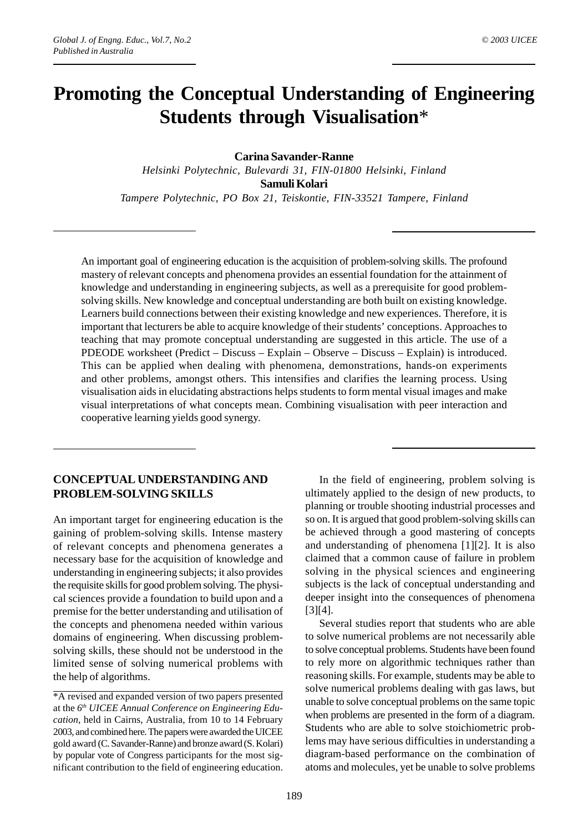# **Promoting the Conceptual Understanding of Engineering Students through Visualisation**\*

#### **Carina Savander-Ranne**

*Helsinki Polytechnic, Bulevardi 31, FIN-01800 Helsinki, Finland* **Samuli Kolari** *Tampere Polytechnic, PO Box 21, Teiskontie, FIN-33521 Tampere, Finland*

An important goal of engineering education is the acquisition of problem-solving skills. The profound mastery of relevant concepts and phenomena provides an essential foundation for the attainment of knowledge and understanding in engineering subjects, as well as a prerequisite for good problemsolving skills. New knowledge and conceptual understanding are both built on existing knowledge. Learners build connections between their existing knowledge and new experiences. Therefore, it is important that lecturers be able to acquire knowledge of their students' conceptions. Approaches to teaching that may promote conceptual understanding are suggested in this article. The use of a PDEODE worksheet (Predict – Discuss – Explain – Observe – Discuss – Explain) is introduced. This can be applied when dealing with phenomena, demonstrations, hands-on experiments and other problems, amongst others. This intensifies and clarifies the learning process. Using visualisation aids in elucidating abstractions helps students to form mental visual images and make visual interpretations of what concepts mean. Combining visualisation with peer interaction and cooperative learning yields good synergy.

### **CONCEPTUAL UNDERSTANDING AND PROBLEM-SOLVING SKILLS**

An important target for engineering education is the gaining of problem-solving skills. Intense mastery of relevant concepts and phenomena generates a necessary base for the acquisition of knowledge and understanding in engineering subjects; it also provides the requisite skills for good problem solving. The physical sciences provide a foundation to build upon and a premise for the better understanding and utilisation of the concepts and phenomena needed within various domains of engineering. When discussing problemsolving skills, these should not be understood in the limited sense of solving numerical problems with the help of algorithms.

\*A revised and expanded version of two papers presented at the *6th UICEE Annual Conference on Engineering Education*, held in Cairns, Australia, from 10 to 14 February 2003, and combined here. The papers were awarded the UICEE gold award (C. Savander-Ranne) and bronze award (S. Kolari) by popular vote of Congress participants for the most significant contribution to the field of engineering education.

In the field of engineering, problem solving is ultimately applied to the design of new products, to planning or trouble shooting industrial processes and so on. It is argued that good problem-solving skills can be achieved through a good mastering of concepts and understanding of phenomena [1][2]. It is also claimed that a common cause of failure in problem solving in the physical sciences and engineering subjects is the lack of conceptual understanding and deeper insight into the consequences of phenomena [3][4].

Several studies report that students who are able to solve numerical problems are not necessarily able to solve conceptual problems. Students have been found to rely more on algorithmic techniques rather than reasoning skills. For example, students may be able to solve numerical problems dealing with gas laws, but unable to solve conceptual problems on the same topic when problems are presented in the form of a diagram. Students who are able to solve stoichiometric problems may have serious difficulties in understanding a diagram-based performance on the combination of atoms and molecules, yet be unable to solve problems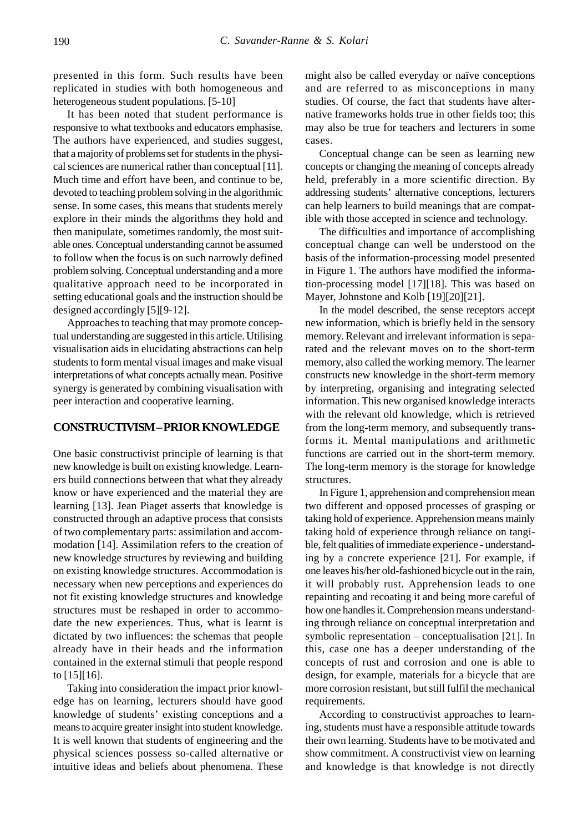presented in this form. Such results have been replicated in studies with both homogeneous and heterogeneous student populations. [5-10]

It has been noted that student performance is responsive to what textbooks and educators emphasise. The authors have experienced, and studies suggest, that a majority of problems set for students in the physical sciences are numerical rather than conceptual [11]. Much time and effort have been, and continue to be, devoted to teaching problem solving in the algorithmic sense. In some cases, this means that students merely explore in their minds the algorithms they hold and then manipulate, sometimes randomly, the most suitable ones. Conceptual understanding cannot be assumed to follow when the focus is on such narrowly defined problem solving. Conceptual understanding and a more qualitative approach need to be incorporated in setting educational goals and the instruction should be designed accordingly [5][9-12].

Approaches to teaching that may promote conceptual understanding are suggested in this article. Utilising visualisation aids in elucidating abstractions can help students to form mental visual images and make visual interpretations of what concepts actually mean. Positive synergy is generated by combining visualisation with peer interaction and cooperative learning.

#### **CONSTRUCTIVISM – PRIOR KNOWLEDGE**

One basic constructivist principle of learning is that new knowledge is built on existing knowledge. Learners build connections between that what they already know or have experienced and the material they are learning [13]. Jean Piaget asserts that knowledge is constructed through an adaptive process that consists of two complementary parts: assimilation and accommodation [14]. Assimilation refers to the creation of new knowledge structures by reviewing and building on existing knowledge structures. Accommodation is necessary when new perceptions and experiences do not fit existing knowledge structures and knowledge structures must be reshaped in order to accommodate the new experiences. Thus, what is learnt is dictated by two influences: the schemas that people already have in their heads and the information contained in the external stimuli that people respond to  $[15][16]$ .

Taking into consideration the impact prior knowledge has on learning, lecturers should have good knowledge of students' existing conceptions and a means to acquire greater insight into student knowledge. It is well known that students of engineering and the physical sciences possess so-called alternative or intuitive ideas and beliefs about phenomena. These might also be called everyday or naïve conceptions and are referred to as misconceptions in many studies. Of course, the fact that students have alternative frameworks holds true in other fields too; this may also be true for teachers and lecturers in some cases.

Conceptual change can be seen as learning new concepts or changing the meaning of concepts already held, preferably in a more scientific direction. By addressing students' alternative conceptions, lecturers can help learners to build meanings that are compatible with those accepted in science and technology.

The difficulties and importance of accomplishing conceptual change can well be understood on the basis of the information-processing model presented in Figure 1. The authors have modified the information-processing model [17][18]. This was based on Mayer, Johnstone and Kolb [19][20][21].

In the model described, the sense receptors accept new information, which is briefly held in the sensory memory. Relevant and irrelevant information is separated and the relevant moves on to the short-term memory, also called the working memory. The learner constructs new knowledge in the short-term memory by interpreting, organising and integrating selected information. This new organised knowledge interacts with the relevant old knowledge, which is retrieved from the long-term memory, and subsequently transforms it. Mental manipulations and arithmetic functions are carried out in the short-term memory. The long-term memory is the storage for knowledge structures.

In Figure 1, apprehension and comprehension mean two different and opposed processes of grasping or taking hold of experience. Apprehension means mainly taking hold of experience through reliance on tangible, felt qualities of immediate experience - understanding by a concrete experience [21]. For example, if one leaves his/her old-fashioned bicycle out in the rain, it will probably rust. Apprehension leads to one repainting and recoating it and being more careful of how one handles it. Comprehension means understanding through reliance on conceptual interpretation and symbolic representation – conceptualisation [21]. In this, case one has a deeper understanding of the concepts of rust and corrosion and one is able to design, for example, materials for a bicycle that are more corrosion resistant, but still fulfil the mechanical requirements.

According to constructivist approaches to learning, students must have a responsible attitude towards their own learning. Students have to be motivated and show commitment. A constructivist view on learning and knowledge is that knowledge is not directly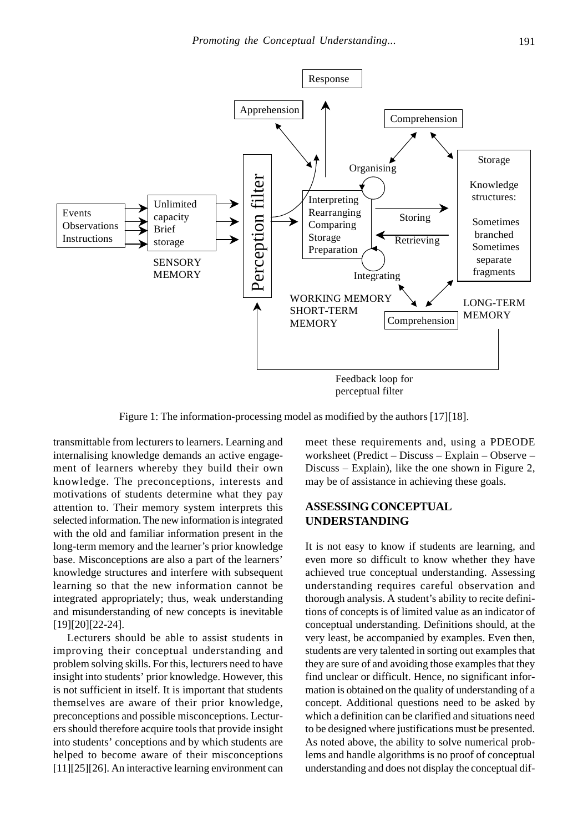

Figure 1: The information-processing model as modified by the authors [17][18].

transmittable from lecturers to learners. Learning and internalising knowledge demands an active engagement of learners whereby they build their own knowledge. The preconceptions, interests and motivations of students determine what they pay attention to. Their memory system interprets this selected information. The new information is integrated with the old and familiar information present in the long-term memory and the learner's prior knowledge base. Misconceptions are also a part of the learners' knowledge structures and interfere with subsequent learning so that the new information cannot be integrated appropriately; thus, weak understanding and misunderstanding of new concepts is inevitable [19][20][22-24].

Lecturers should be able to assist students in improving their conceptual understanding and problem solving skills. For this, lecturers need to have insight into students' prior knowledge. However, this is not sufficient in itself. It is important that students themselves are aware of their prior knowledge, preconceptions and possible misconceptions. Lecturers should therefore acquire tools that provide insight into students' conceptions and by which students are helped to become aware of their misconceptions [11][25][26]. An interactive learning environment can meet these requirements and, using a PDEODE worksheet (Predict – Discuss – Explain – Observe – Discuss – Explain), like the one shown in Figure 2, may be of assistance in achieving these goals.

# **ASSESSING CONCEPTUAL UNDERSTANDING**

It is not easy to know if students are learning, and even more so difficult to know whether they have achieved true conceptual understanding. Assessing understanding requires careful observation and thorough analysis. A student's ability to recite definitions of concepts is of limited value as an indicator of conceptual understanding. Definitions should, at the very least, be accompanied by examples. Even then, students are very talented in sorting out examples that they are sure of and avoiding those examples that they find unclear or difficult. Hence, no significant information is obtained on the quality of understanding of a concept. Additional questions need to be asked by which a definition can be clarified and situations need to be designed where justifications must be presented. As noted above, the ability to solve numerical problems and handle algorithms is no proof of conceptual understanding and does not display the conceptual dif-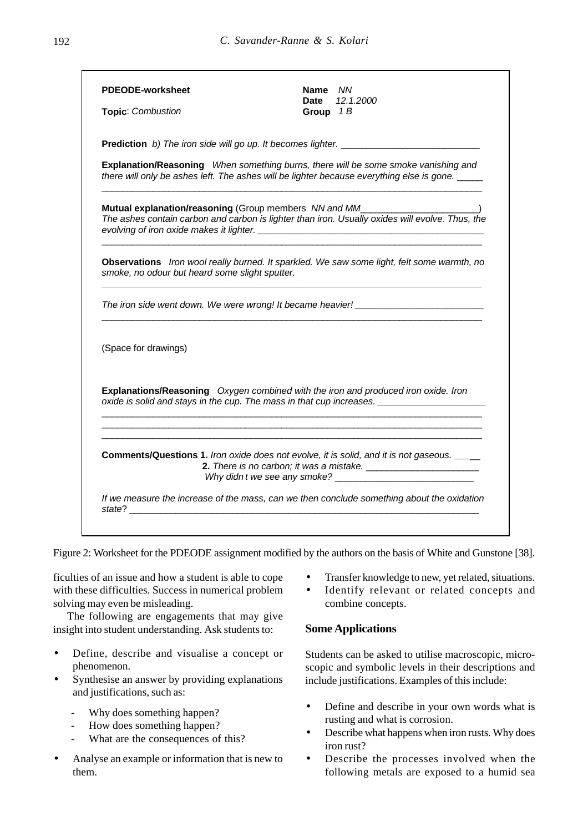| <b>PDEODE-worksheet</b><br>Topic: Combustion   | Name NN<br>12.1.2000<br>Date<br>Group $1B$                                                                                                                                                 |
|------------------------------------------------|--------------------------------------------------------------------------------------------------------------------------------------------------------------------------------------------|
|                                                |                                                                                                                                                                                            |
|                                                | Explanation/Reasoning When something burns, there will be some smoke vanishing and<br>there will only be ashes left. The ashes will be lighter because everything else is gone. ____       |
|                                                | Mutual explanation/reasoning (Group members NN and MM___________________________)<br>The ashes contain carbon and carbon is lighter than iron. Usually oxides will evolve. Thus, the       |
| smoke, no odour but heard some slight sputter. | Observations Iron wool really burned. It sparkled. We saw some light, felt some warmth, no                                                                                                 |
|                                                | The iron side went down. We were wrong! It became heavier! ______________________                                                                                                          |
| (Space for drawings)                           |                                                                                                                                                                                            |
|                                                | Explanations/Reasoning Oxygen combined with the iron and produced iron oxide. Iron<br>oxide is solid and stays in the cup. The mass in that cup increases. _______________________________ |
|                                                | <b>Comments/Questions 1.</b> Iron oxide does not evolve, it is solid, and it is not gaseous. ____                                                                                          |
|                                                | If we measure the increase of the mass, can we then conclude something about the oxidation                                                                                                 |

Figure 2: Worksheet for the PDEODE assignment modified by the authors on the basis of White and Gunstone [38].

ficulties of an issue and how a student is able to cope with these difficulties. Success in numerical problem solving may even be misleading.

The following are engagements that may give insight into student understanding. Ask students to:

- Define, describe and visualise a concept or phenomenon.
- Synthesise an answer by providing explanations and justifications, such as:
	- Why does something happen?
	- How does something happen?
	- What are the consequences of this?
- Analyse an example or information that is new to them.
- Transfer knowledge to new, yet related, situations.
- Identify relevant or related concepts and combine concepts.

## **Some Applications**

Students can be asked to utilise macroscopic, microscopic and symbolic levels in their descriptions and include justifications. Examples of this include:

- Define and describe in your own words what is rusting and what is corrosion.
- Describe what happens when iron rusts. Why does iron rust?
- Describe the processes involved when the following metals are exposed to a humid sea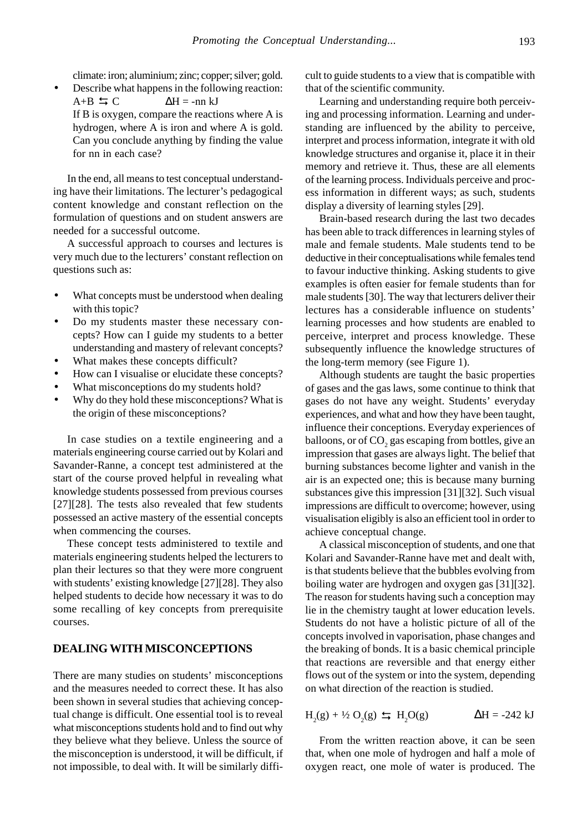climate: iron; aluminium; zinc; copper; silver; gold.

• Describe what happens in the following reaction:  $\Delta H = -nn$  kJ If B is oxygen, compare the reactions where A is hydrogen, where A is iron and where A is gold. Can you conclude anything by finding the value for nn in each case?  $A+B = C$ 

In the end, all means to test conceptual understanding have their limitations. The lecturer's pedagogical content knowledge and constant reflection on the formulation of questions and on student answers are needed for a successful outcome.

A successful approach to courses and lectures is very much due to the lecturers' constant reflection on questions such as:

- What concepts must be understood when dealing with this topic?
- Do my students master these necessary concepts? How can I guide my students to a better understanding and mastery of relevant concepts?
- What makes these concepts difficult?
- How can I visualise or elucidate these concepts?
- What misconceptions do my students hold?
- Why do they hold these misconceptions? What is the origin of these misconceptions?

In case studies on a textile engineering and a materials engineering course carried out by Kolari and Savander-Ranne, a concept test administered at the start of the course proved helpful in revealing what knowledge students possessed from previous courses [27][28]. The tests also revealed that few students possessed an active mastery of the essential concepts when commencing the courses.

These concept tests administered to textile and materials engineering students helped the lecturers to plan their lectures so that they were more congruent with students' existing knowledge [27][28]. They also helped students to decide how necessary it was to do some recalling of key concepts from prerequisite courses.

#### **DEALING WITH MISCONCEPTIONS**

There are many studies on students' misconceptions and the measures needed to correct these. It has also been shown in several studies that achieving conceptual change is difficult. One essential tool is to reveal what misconceptions students hold and to find out why they believe what they believe. Unless the source of the misconception is understood, it will be difficult, if not impossible, to deal with. It will be similarly difficult to guide students to a view that is compatible with that of the scientific community.

Learning and understanding require both perceiving and processing information. Learning and understanding are influenced by the ability to perceive, interpret and process information, integrate it with old knowledge structures and organise it, place it in their memory and retrieve it. Thus, these are all elements of the learning process. Individuals perceive and process information in different ways; as such, students display a diversity of learning styles [29].

Brain-based research during the last two decades has been able to track differences in learning styles of male and female students. Male students tend to be deductive in their conceptualisations while females tend to favour inductive thinking. Asking students to give examples is often easier for female students than for male students [30]. The way that lecturers deliver their lectures has a considerable influence on students' learning processes and how students are enabled to perceive, interpret and process knowledge. These subsequently influence the knowledge structures of the long-term memory (see Figure 1).

Although students are taught the basic properties of gases and the gas laws, some continue to think that gases do not have any weight. Students' everyday experiences, and what and how they have been taught, influence their conceptions. Everyday experiences of balloons, or of  $\mathrm{CO}_2$  gas escaping from bottles, give an impression that gases are always light. The belief that burning substances become lighter and vanish in the air is an expected one; this is because many burning substances give this impression [31][32]. Such visual impressions are difficult to overcome; however, using visualisation eligibly is also an efficient tool in order to achieve conceptual change.

A classical misconception of students, and one that Kolari and Savander-Ranne have met and dealt with, is that students believe that the bubbles evolving from boiling water are hydrogen and oxygen gas [31][32]. The reason for students having such a conception may lie in the chemistry taught at lower education levels. Students do not have a holistic picture of all of the concepts involved in vaporisation, phase changes and the breaking of bonds. It is a basic chemical principle that reactions are reversible and that energy either flows out of the system or into the system, depending on what direction of the reaction is studied.

 $H_2(g) + \frac{1}{2} O_2(g) \leq H_2$  $\Delta H = -242$  kJ

From the written reaction above, it can be seen that, when one mole of hydrogen and half a mole of oxygen react, one mole of water is produced. The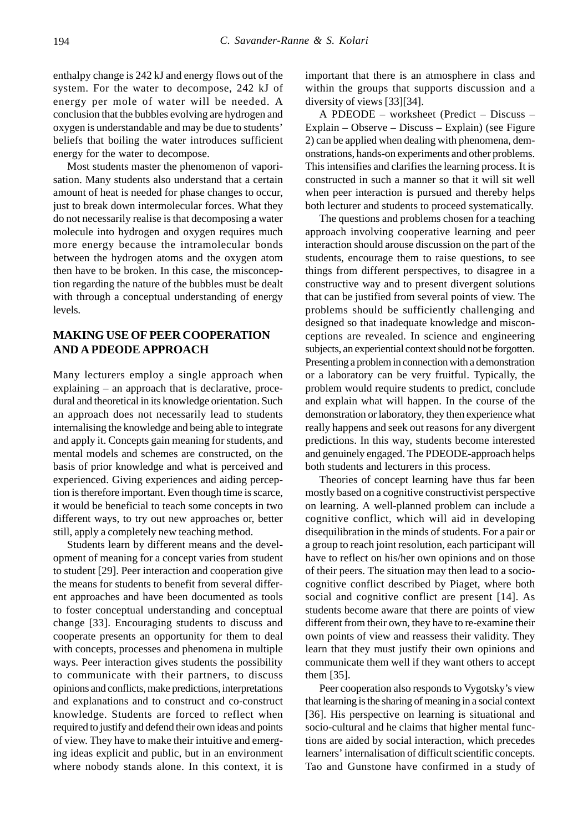enthalpy change is 242 kJ and energy flows out of the system. For the water to decompose, 242 kJ of energy per mole of water will be needed. A conclusion that the bubbles evolving are hydrogen and oxygen is understandable and may be due to students' beliefs that boiling the water introduces sufficient energy for the water to decompose.

Most students master the phenomenon of vaporisation. Many students also understand that a certain amount of heat is needed for phase changes to occur, just to break down intermolecular forces. What they do not necessarily realise is that decomposing a water molecule into hydrogen and oxygen requires much more energy because the intramolecular bonds between the hydrogen atoms and the oxygen atom then have to be broken. In this case, the misconception regarding the nature of the bubbles must be dealt with through a conceptual understanding of energy levels.

#### **MAKING USE OF PEER COOPERATION AND A PDEODE APPROACH**

Many lecturers employ a single approach when explaining – an approach that is declarative, procedural and theoretical in its knowledge orientation. Such an approach does not necessarily lead to students internalising the knowledge and being able to integrate and apply it. Concepts gain meaning for students, and mental models and schemes are constructed, on the basis of prior knowledge and what is perceived and experienced. Giving experiences and aiding perception is therefore important. Even though time is scarce, it would be beneficial to teach some concepts in two different ways, to try out new approaches or, better still, apply a completely new teaching method.

Students learn by different means and the development of meaning for a concept varies from student to student [29]. Peer interaction and cooperation give the means for students to benefit from several different approaches and have been documented as tools to foster conceptual understanding and conceptual change [33]. Encouraging students to discuss and cooperate presents an opportunity for them to deal with concepts, processes and phenomena in multiple ways. Peer interaction gives students the possibility to communicate with their partners, to discuss opinions and conflicts, make predictions, interpretations and explanations and to construct and co-construct knowledge. Students are forced to reflect when required to justify and defend their own ideas and points of view. They have to make their intuitive and emerging ideas explicit and public, but in an environment where nobody stands alone. In this context, it is important that there is an atmosphere in class and within the groups that supports discussion and a diversity of views [33][34].

A PDEODE – worksheet (Predict – Discuss – Explain – Observe – Discuss – Explain) (see Figure 2) can be applied when dealing with phenomena, demonstrations, hands-on experiments and other problems. This intensifies and clarifies the learning process. It is constructed in such a manner so that it will sit well when peer interaction is pursued and thereby helps both lecturer and students to proceed systematically.

The questions and problems chosen for a teaching approach involving cooperative learning and peer interaction should arouse discussion on the part of the students, encourage them to raise questions, to see things from different perspectives, to disagree in a constructive way and to present divergent solutions that can be justified from several points of view. The problems should be sufficiently challenging and designed so that inadequate knowledge and misconceptions are revealed. In science and engineering subjects, an experiential context should not be forgotten. Presenting a problem in connection with a demonstration or a laboratory can be very fruitful. Typically, the problem would require students to predict, conclude and explain what will happen. In the course of the demonstration or laboratory, they then experience what really happens and seek out reasons for any divergent predictions. In this way, students become interested and genuinely engaged. The PDEODE-approach helps both students and lecturers in this process.

Theories of concept learning have thus far been mostly based on a cognitive constructivist perspective on learning. A well-planned problem can include a cognitive conflict, which will aid in developing disequilibration in the minds of students. For a pair or a group to reach joint resolution, each participant will have to reflect on his/her own opinions and on those of their peers. The situation may then lead to a sociocognitive conflict described by Piaget, where both social and cognitive conflict are present [14]. As students become aware that there are points of view different from their own, they have to re-examine their own points of view and reassess their validity. They learn that they must justify their own opinions and communicate them well if they want others to accept them [35].

Peer cooperation also responds to Vygotsky's view that learning is the sharing of meaning in a social context [36]. His perspective on learning is situational and socio-cultural and he claims that higher mental functions are aided by social interaction, which precedes learners' internalisation of difficult scientific concepts. Tao and Gunstone have confirmed in a study of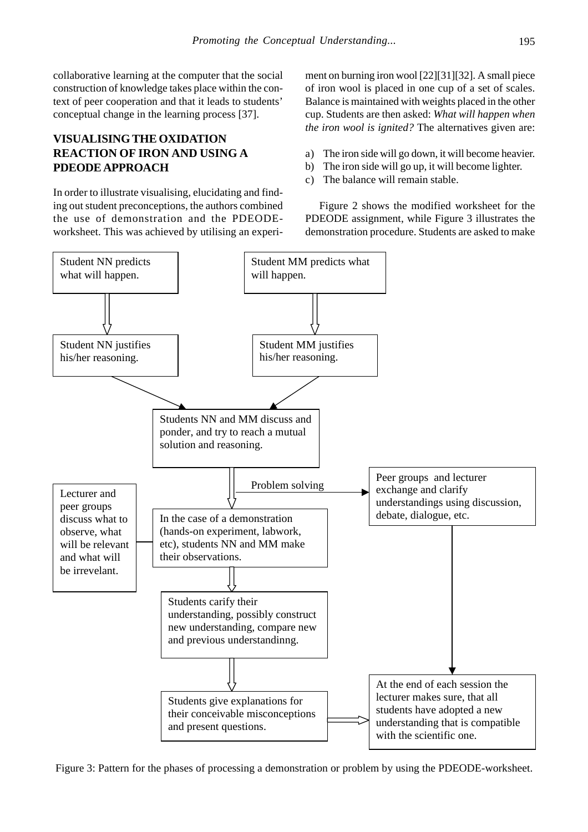collaborative learning at the computer that the social construction of knowledge takes place within the context of peer cooperation and that it leads to students' conceptual change in the learning process [37].

# **VISUALISING THE OXIDATION REACTION OF IRON AND USING A PDEODE APPROACH**

In order to illustrate visualising, elucidating and finding out student preconceptions, the authors combined the use of demonstration and the PDEODEworksheet. This was achieved by utilising an experiment on burning iron wool [22][31][32]. A small piece of iron wool is placed in one cup of a set of scales. Balance is maintained with weights placed in the other cup. Students are then asked: *What will happen when the iron wool is ignited?* The alternatives given are:

- a) The iron side will go down, it will become heavier.
- b) The iron side will go up, it will become lighter.
- c) The balance will remain stable.

Figure 2 shows the modified worksheet for the PDEODE assignment, while Figure 3 illustrates the demonstration procedure. Students are asked to make



Figure 3: Pattern for the phases of processing a demonstration or problem by using the PDEODE-worksheet.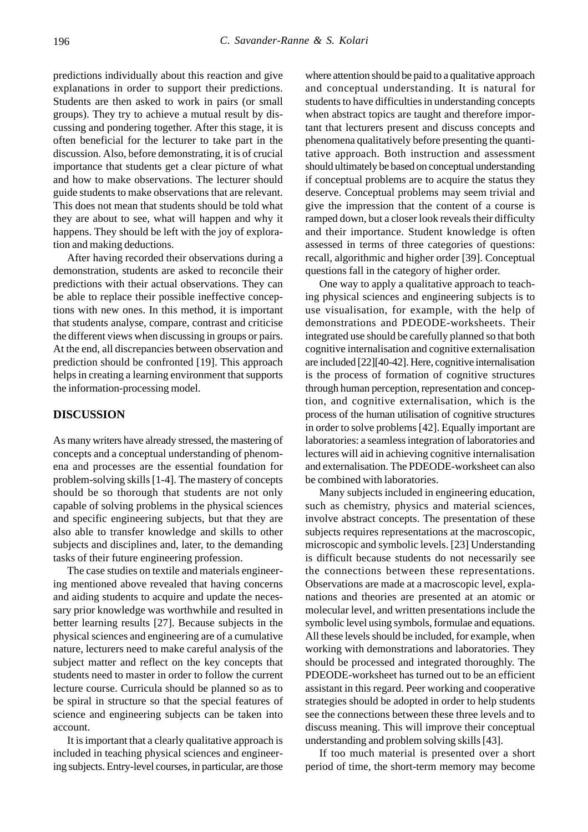predictions individually about this reaction and give explanations in order to support their predictions. Students are then asked to work in pairs (or small groups). They try to achieve a mutual result by discussing and pondering together. After this stage, it is often beneficial for the lecturer to take part in the discussion. Also, before demonstrating, it is of crucial importance that students get a clear picture of what and how to make observations. The lecturer should guide students to make observations that are relevant. This does not mean that students should be told what they are about to see, what will happen and why it happens. They should be left with the joy of exploration and making deductions.

After having recorded their observations during a demonstration, students are asked to reconcile their predictions with their actual observations. They can be able to replace their possible ineffective conceptions with new ones. In this method, it is important that students analyse, compare, contrast and criticise the different views when discussing in groups or pairs. At the end, all discrepancies between observation and prediction should be confronted [19]. This approach helps in creating a learning environment that supports the information-processing model.

#### **DISCUSSION**

As many writers have already stressed, the mastering of concepts and a conceptual understanding of phenomena and processes are the essential foundation for problem-solving skills [1-4]. The mastery of concepts should be so thorough that students are not only capable of solving problems in the physical sciences and specific engineering subjects, but that they are also able to transfer knowledge and skills to other subjects and disciplines and, later, to the demanding tasks of their future engineering profession.

The case studies on textile and materials engineering mentioned above revealed that having concerns and aiding students to acquire and update the necessary prior knowledge was worthwhile and resulted in better learning results [27]. Because subjects in the physical sciences and engineering are of a cumulative nature, lecturers need to make careful analysis of the subject matter and reflect on the key concepts that students need to master in order to follow the current lecture course. Curricula should be planned so as to be spiral in structure so that the special features of science and engineering subjects can be taken into account.

It is important that a clearly qualitative approach is included in teaching physical sciences and engineering subjects. Entry-level courses, in particular, are those where attention should be paid to a qualitative approach and conceptual understanding. It is natural for students to have difficulties in understanding concepts when abstract topics are taught and therefore important that lecturers present and discuss concepts and phenomena qualitatively before presenting the quantitative approach. Both instruction and assessment should ultimately be based on conceptual understanding if conceptual problems are to acquire the status they deserve. Conceptual problems may seem trivial and give the impression that the content of a course is ramped down, but a closer look reveals their difficulty and their importance. Student knowledge is often assessed in terms of three categories of questions: recall, algorithmic and higher order [39]. Conceptual questions fall in the category of higher order.

One way to apply a qualitative approach to teaching physical sciences and engineering subjects is to use visualisation, for example, with the help of demonstrations and PDEODE-worksheets. Their integrated use should be carefully planned so that both cognitive internalisation and cognitive externalisation are included [22][40-42]. Here, cognitive internalisation is the process of formation of cognitive structures through human perception, representation and conception, and cognitive externalisation, which is the process of the human utilisation of cognitive structures in order to solve problems [42]. Equally important are laboratories: a seamless integration of laboratories and lectures will aid in achieving cognitive internalisation and externalisation. The PDEODE-worksheet can also be combined with laboratories.

Many subjects included in engineering education, such as chemistry, physics and material sciences, involve abstract concepts. The presentation of these subjects requires representations at the macroscopic, microscopic and symbolic levels. [23] Understanding is difficult because students do not necessarily see the connections between these representations. Observations are made at a macroscopic level, explanations and theories are presented at an atomic or molecular level, and written presentations include the symbolic level using symbols, formulae and equations. All these levels should be included, for example, when working with demonstrations and laboratories. They should be processed and integrated thoroughly. The PDEODE-worksheet has turned out to be an efficient assistant in this regard. Peer working and cooperative strategies should be adopted in order to help students see the connections between these three levels and to discuss meaning. This will improve their conceptual understanding and problem solving skills [43].

If too much material is presented over a short period of time, the short-term memory may become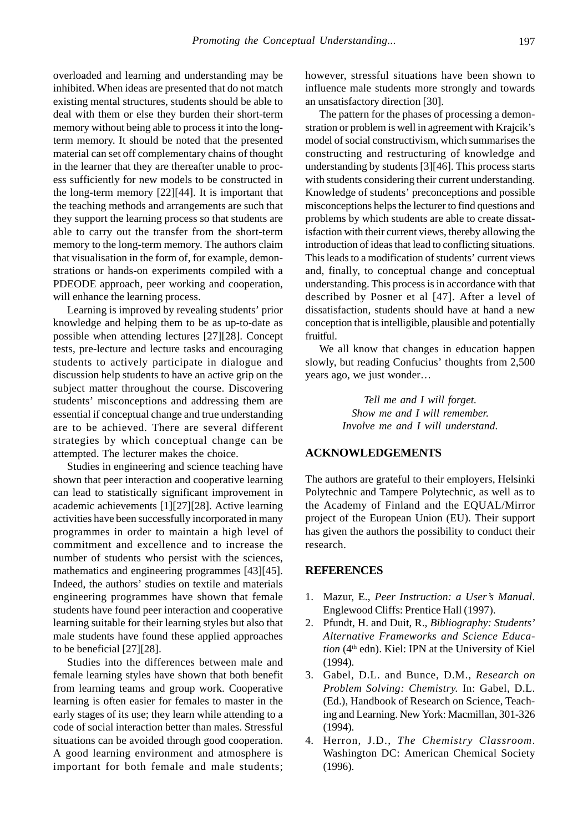overloaded and learning and understanding may be inhibited. When ideas are presented that do not match existing mental structures, students should be able to deal with them or else they burden their short-term memory without being able to process it into the longterm memory. It should be noted that the presented material can set off complementary chains of thought in the learner that they are thereafter unable to process sufficiently for new models to be constructed in the long-term memory [22][44]. It is important that the teaching methods and arrangements are such that they support the learning process so that students are able to carry out the transfer from the short-term memory to the long-term memory. The authors claim that visualisation in the form of, for example, demonstrations or hands-on experiments compiled with a PDEODE approach, peer working and cooperation, will enhance the learning process.

Learning is improved by revealing students' prior knowledge and helping them to be as up-to-date as possible when attending lectures [27][28]. Concept tests, pre-lecture and lecture tasks and encouraging students to actively participate in dialogue and discussion help students to have an active grip on the subject matter throughout the course. Discovering students' misconceptions and addressing them are essential if conceptual change and true understanding are to be achieved. There are several different strategies by which conceptual change can be attempted. The lecturer makes the choice.

Studies in engineering and science teaching have shown that peer interaction and cooperative learning can lead to statistically significant improvement in academic achievements [1][27][28]. Active learning activities have been successfully incorporated in many programmes in order to maintain a high level of commitment and excellence and to increase the number of students who persist with the sciences, mathematics and engineering programmes [43][45]. Indeed, the authors' studies on textile and materials engineering programmes have shown that female students have found peer interaction and cooperative learning suitable for their learning styles but also that male students have found these applied approaches to be beneficial [27][28].

Studies into the differences between male and female learning styles have shown that both benefit from learning teams and group work. Cooperative learning is often easier for females to master in the early stages of its use; they learn while attending to a code of social interaction better than males. Stressful situations can be avoided through good cooperation. A good learning environment and atmosphere is important for both female and male students; however, stressful situations have been shown to influence male students more strongly and towards an unsatisfactory direction [30].

The pattern for the phases of processing a demonstration or problem is well in agreement with Krajcik's model of social constructivism, which summarises the constructing and restructuring of knowledge and understanding by students [3][46]. This process starts with students considering their current understanding. Knowledge of students' preconceptions and possible misconceptions helps the lecturer to find questions and problems by which students are able to create dissatisfaction with their current views, thereby allowing the introduction of ideas that lead to conflicting situations. This leads to a modification of students' current views and, finally, to conceptual change and conceptual understanding. This process is in accordance with that described by Posner et al [47]. After a level of dissatisfaction, students should have at hand a new conception that is intelligible, plausible and potentially fruitful.

We all know that changes in education happen slowly, but reading Confucius' thoughts from 2,500 years ago, we just wonder…

> *Tell me and I will forget. Show me and I will remember. Involve me and I will understand.*

#### **ACKNOWLEDGEMENTS**

The authors are grateful to their employers, Helsinki Polytechnic and Tampere Polytechnic, as well as to the Academy of Finland and the EQUAL/Mirror project of the European Union (EU). Their support has given the authors the possibility to conduct their research.

#### **REFERENCES**

- 1. Mazur, E., *Peer Instruction: a User's Manual*. Englewood Cliffs: Prentice Hall (1997).
- 2. Pfundt, H. and Duit, R., *Bibliography: Students' Alternative Frameworks and Science Education* (4th edn). Kiel: IPN at the University of Kiel (1994).
- 3. Gabel, D.L. and Bunce, D.M., *Research on Problem Solving: Chemistry.* In: Gabel, D.L. (Ed.), Handbook of Research on Science, Teaching and Learning. New York: Macmillan, 301-326 (1994).
- 4. Herron, J.D., *The Chemistry Classroom*. Washington DC: American Chemical Society (1996).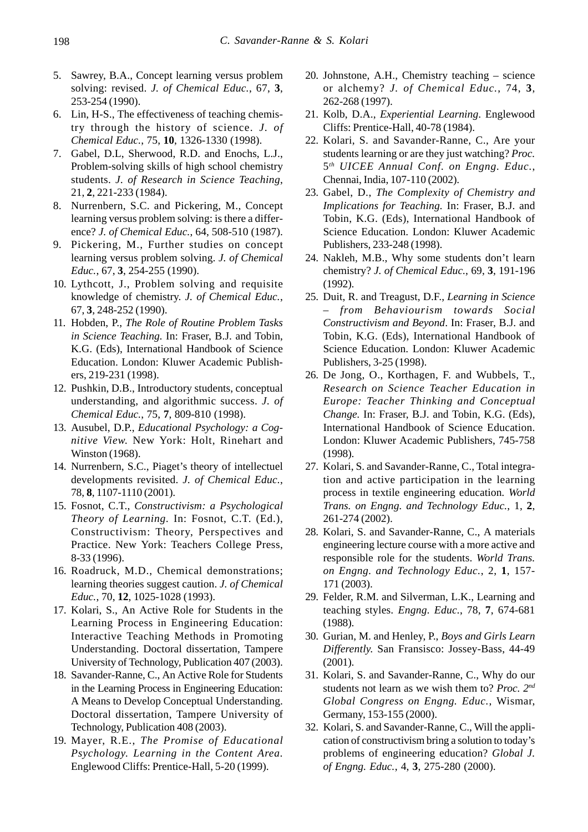- 5. Sawrey, B.A., Concept learning versus problem solving: revised. *J. of Chemical Educ.*, 67, **3**, 253-254 (1990).
- 6. Lin, H-S., The effectiveness of teaching chemistry through the history of science. *J. of Chemical Educ.*, 75, **10**, 1326-1330 (1998).
- 7. Gabel, D.L, Sherwood, R.D. and Enochs, L.J., Problem-solving skills of high school chemistry students. *J. of Research in Science Teaching*, 21, **2**, 221-233 (1984).
- 8. Nurrenbern, S.C. and Pickering, M., Concept learning versus problem solving: is there a difference? *J. of Chemical Educ.*, 64, 508-510 (1987).
- 9. Pickering, M., Further studies on concept learning versus problem solving. *J. of Chemical Educ.*, 67, **3**, 254-255 (1990).
- 10. Lythcott, J., Problem solving and requisite knowledge of chemistry. *J. of Chemical Educ.*, 67, **3**, 248-252 (1990).
- 11. Hobden, P., *The Role of Routine Problem Tasks in Science Teaching.* In: Fraser, B.J. and Tobin, K.G. (Eds), International Handbook of Science Education. London: Kluwer Academic Publishers, 219-231 (1998).
- 12. Pushkin, D.B., Introductory students, conceptual understanding, and algorithmic success. *J. of Chemical Educ.*, 75, **7**, 809-810 (1998).
- 13. Ausubel, D.P., *Educational Psychology: a Cognitive View.* New York: Holt, Rinehart and Winston (1968).
- 14. Nurrenbern, S.C., Piaget's theory of intellectuel developments revisited. *J. of Chemical Educ.*, 78, **8**, 1107-1110 (2001).
- 15. Fosnot, C.T., *Constructivism: a Psychological Theory of Learning.* In: Fosnot, C.T. (Ed.), Constructivism: Theory, Perspectives and Practice. New York: Teachers College Press, 8-33 (1996).
- 16. Roadruck, M.D., Chemical demonstrations; learning theories suggest caution. *J. of Chemical Educ.*, 70, **12**, 1025-1028 (1993).
- 17. Kolari, S., An Active Role for Students in the Learning Process in Engineering Education: Interactive Teaching Methods in Promoting Understanding. Doctoral dissertation, Tampere University of Technology, Publication 407 (2003).
- 18. Savander-Ranne, C., An Active Role for Students in the Learning Process in Engineering Education: A Means to Develop Conceptual Understanding. Doctoral dissertation, Tampere University of Technology, Publication 408 (2003).
- 19. Mayer, R.E., *The Promise of Educational Psychology. Learning in the Content Area.* Englewood Cliffs: Prentice-Hall, 5-20 (1999).
- 20. Johnstone, A.H., Chemistry teaching science or alchemy? *J. of Chemical Educ.*, 74, **3**, 262-268 (1997).
- 21. Kolb, D.A., *Experiential Learning*. Englewood Cliffs: Prentice-Hall, 40-78 (1984).
- 22. Kolari, S. and Savander-Ranne, C., Are your students learning or are they just watching? *Proc.* 5*th UICEE Annual Conf. on Engng. Educ.*, Chennai, India, 107-110 (2002).
- 23. Gabel, D., *The Complexity of Chemistry and Implications for Teaching.* In: Fraser, B.J. and Tobin, K.G. (Eds), International Handbook of Science Education. London: Kluwer Academic Publishers, 233-248 (1998).
- 24. Nakleh, M.B., Why some students don't learn chemistry? *J. of Chemical Educ.*, 69, **3**, 191-196 (1992).
- 25. Duit, R. and Treagust, D.F., *Learning in Science – from Behaviourism towards Social Constructivism and Beyond*. In: Fraser, B.J. and Tobin, K.G. (Eds), International Handbook of Science Education. London: Kluwer Academic Publishers, 3-25 (1998).
- 26. De Jong, O., Korthagen, F. and Wubbels, T., *Research on Science Teacher Education in Europe: Teacher Thinking and Conceptual Change.* In: Fraser, B.J. and Tobin, K.G. (Eds), International Handbook of Science Education. London: Kluwer Academic Publishers, 745-758 (1998).
- 27. Kolari, S. and Savander-Ranne, C., Total integration and active participation in the learning process in textile engineering education*. World Trans. on Engng. and Technology Educ.*, 1, **2**, 261-274 (2002).
- 28. Kolari, S. and Savander-Ranne, C., A materials engineering lecture course with a more active and responsible role for the students. *World Trans. on Engng. and Technology Educ.*, 2, **1**, 157- 171 (2003).
- 29. Felder, R.M. and Silverman, L.K., Learning and teaching styles*. Engng. Educ.*, 78, **7**, 674-681 (1988).
- 30. Gurian, M. and Henley, P., *Boys and Girls Learn Differently.* San Fransisco: Jossey-Bass, 44-49 (2001).
- 31. Kolari, S. and Savander-Ranne, C., Why do our students not learn as we wish them to? *Proc. 2nd Global Congress on Engng. Educ.*, Wismar, Germany, 153-155 (2000).
- 32. Kolari, S. and Savander-Ranne, C., Will the application of constructivism bring a solution to today's problems of engineering education? *Global J. of Engng. Educ.*, 4, **3**, 275-280 (2000).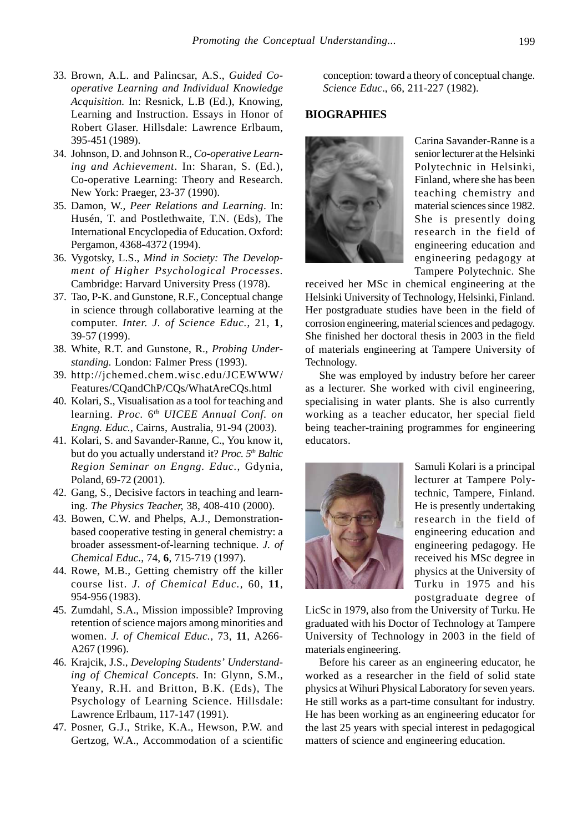- 33. Brown, A.L. and Palincsar, A.S., *Guided Cooperative Learning and Individual Knowledge Acquisition.* In: Resnick, L.B (Ed.), Knowing, Learning and Instruction. Essays in Honor of Robert Glaser. Hillsdale: Lawrence Erlbaum, 395-451 (1989).
- 34. Johnson, D. and Johnson R., *Co-operative Learning and Achievement*. In: Sharan, S. (Ed.), Co-operative Learning: Theory and Research. New York: Praeger, 23-37 (1990).
- 35. Damon, W., *Peer Relations and Learning*. In: Husén, T. and Postlethwaite, T.N. (Eds), The International Encyclopedia of Education. Oxford: Pergamon, 4368-4372 (1994).
- 36. Vygotsky, L.S., *Mind in Society: The Development of Higher Psychological Processes.* Cambridge: Harvard University Press (1978).
- 37. Tao, P-K. and Gunstone, R.F., Conceptual change in science through collaborative learning at the computer. *Inter. J. of Science Educ.*, 21, **1**, 39-57 (1999).
- 38. White, R.T. and Gunstone, R., *Probing Understanding.* London: Falmer Press (1993).
- 39. http://jchemed.chem.wisc.edu/JCEWWW/ Features/CQandChP/CQs/WhatAreCQs.html
- 40. Kolari, S., Visualisation as a tool for teaching and learning. *Proc.* 6*th UICEE Annual Conf. on Engng. Educ.*, Cairns, Australia, 91-94 (2003).
- 41. Kolari, S. and Savander-Ranne, C., You know it, but do you actually understand it? *Proc.* 5<sup>th</sup> Baltic *Region Seminar on Engng. Educ.*, Gdynia, Poland, 69-72 (2001).
- 42. Gang, S., Decisive factors in teaching and learning. *The Physics Teacher,* 38, 408-410 (2000).
- 43. Bowen, C.W. and Phelps, A.J., Demonstrationbased cooperative testing in general chemistry: a broader assessment-of-learning technique. *J. of Chemical Educ.*, 74, **6**, 715-719 (1997).
- 44. Rowe, M.B., Getting chemistry off the killer course list. *J. of Chemical Educ.*, 60, **11**, 954-956 (1983).
- 45. Zumdahl, S.A., Mission impossible? Improving retention of science majors among minorities and women. *J. of Chemical Educ.*, 73, **11**, A266- A267 (1996).
- 46. Krajcik, J.S., *Developing Students' Understanding of Chemical Concepts.* In: Glynn, S.M., Yeany, R.H. and Britton, B.K. (Eds), The Psychology of Learning Science. Hillsdale: Lawrence Erlbaum, 117-147 (1991).
- 47. Posner, G.J., Strike, K.A., Hewson, P.W. and Gertzog, W.A., Accommodation of a scientific

conception: toward a theory of conceptual change. *Science Educ*., 66, 211-227 (1982).

#### **BIOGRAPHIES**



Carina Savander-Ranne is a senior lecturer at the Helsinki Polytechnic in Helsinki, Finland, where she has been teaching chemistry and material sciences since 1982. She is presently doing research in the field of engineering education and engineering pedagogy at Tampere Polytechnic. She

received her MSc in chemical engineering at the Helsinki University of Technology, Helsinki, Finland. Her postgraduate studies have been in the field of corrosion engineering, material sciences and pedagogy. She finished her doctoral thesis in 2003 in the field of materials engineering at Tampere University of Technology.

She was employed by industry before her career as a lecturer. She worked with civil engineering, specialising in water plants. She is also currently working as a teacher educator, her special field being teacher-training programmes for engineering educators.



Samuli Kolari is a principal lecturer at Tampere Polytechnic, Tampere, Finland. He is presently undertaking research in the field of engineering education and engineering pedagogy. He received his MSc degree in physics at the University of Turku in 1975 and his postgraduate degree of

LicSc in 1979, also from the University of Turku. He graduated with his Doctor of Technology at Tampere University of Technology in 2003 in the field of materials engineering.

Before his career as an engineering educator, he worked as a researcher in the field of solid state physics at Wihuri Physical Laboratory for seven years. He still works as a part-time consultant for industry. He has been working as an engineering educator for the last 25 years with special interest in pedagogical matters of science and engineering education.